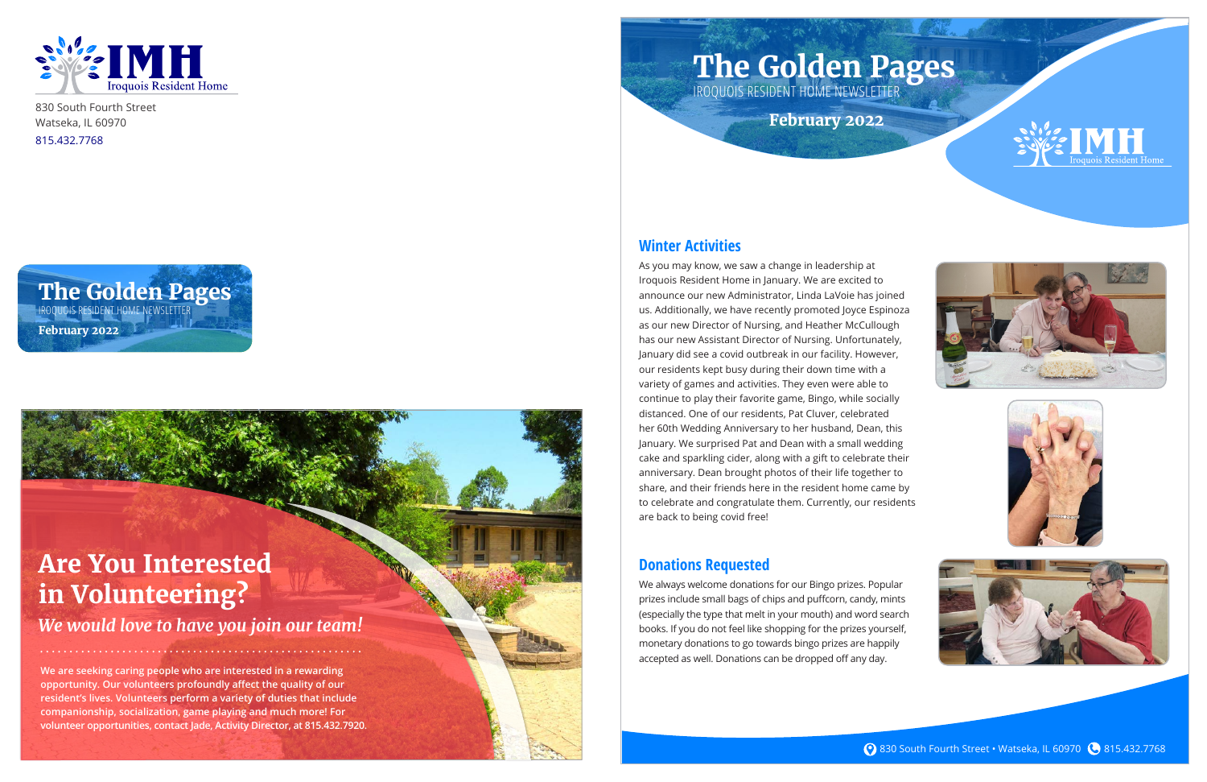

830 South Fourth Street Watseka, IL 60970 815.432.7768

#### **Winter Activities**

As you may know, we saw a change in leadership at Iroquois Resident Home in January. We are excited to announce our new Administrator, Linda LaVoie has joined us. Additionally, we have recently promoted Joyce Espinoza as our new Director of Nursing, and Heather McCullough has our new Assistant Director of Nursing. Unfortunately, January did see a covid outbreak in our facility. However, our residents kept busy during their down time with a variety of games and activities. They even were able to continue to play their favorite game, Bingo, while socially distanced. One of our residents, Pat Cluver, celebrated her 60th Wedding Anniversary to her husband, Dean, this January. We surprised Pat and Dean with a small wedding cake and sparkling cider, along with a gift to celebrate their anniversary. Dean brought photos of their life together to share, and their friends here in the resident home came by to celebrate and congratulate them. Currently, our residents are back to being covid free!

**IROQUOIS RESIDENT HOME NEWSLETTE February 2022**

#### **Donations Requested**

We always welcome donations for our Bingo prizes. Popular prizes include small bags of chips and puffcorn, candy, mints (especially the type that melt in your mouth) and word search books. If you do not feel like shopping for the prizes yourself, monetary donations to go towards bingo prizes are happily accepted as well. Donations can be dropped off any day.









**The Golden Pages**

# **The Golden Pages**

IROQUOIS RESIDENT HOME NEWSLETTER

**February 2022**

## **Are You Interested in Volunteering?**

*We would love to have you join our team!*

**We are seeking caring people who are interested in a rewarding opportunity. Our volunteers profoundly affect the quality of our resident's lives. Volunteers perform a variety of duties that include companionship, socialization, game playing and much more! For volunteer opportunities, contact Jade, Activity Director, at 815.432.7920.**